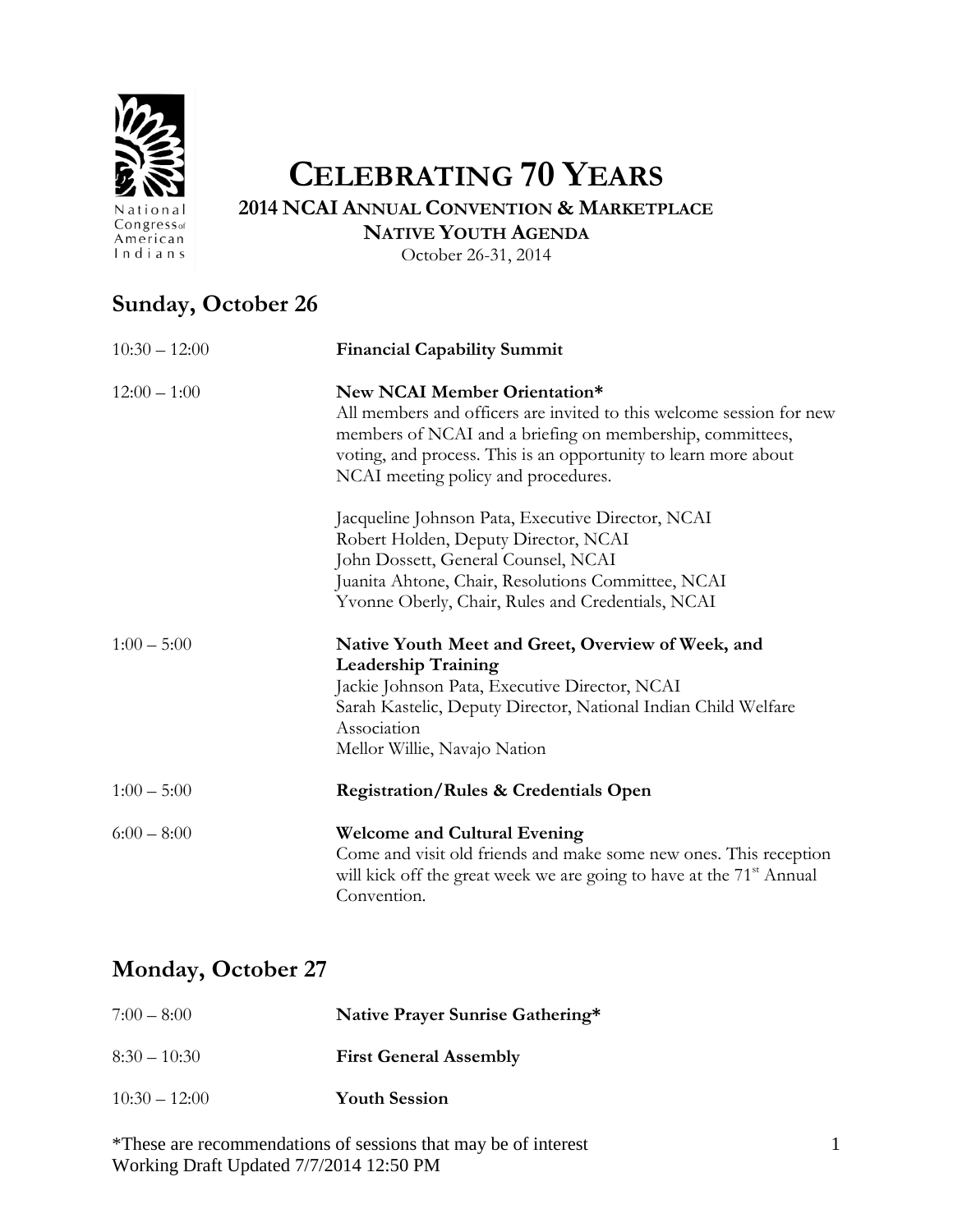

# **CELEBRATING 70 YEARS**

**2014 NCAI ANNUAL CONVENTION & MARKETPLACE NATIVE YOUTH AGENDA**

October 26-31, 2014

## **Sunday, October 26**

| $10:30 - 12:00$ | <b>Financial Capability Summit</b>                                                                                                                                                                                                                                          |
|-----------------|-----------------------------------------------------------------------------------------------------------------------------------------------------------------------------------------------------------------------------------------------------------------------------|
| $12:00 - 1:00$  | New NCAI Member Orientation*<br>All members and officers are invited to this welcome session for new<br>members of NCAI and a briefing on membership, committees,<br>voting, and process. This is an opportunity to learn more about<br>NCAI meeting policy and procedures. |
|                 | Jacqueline Johnson Pata, Executive Director, NCAI<br>Robert Holden, Deputy Director, NCAI<br>John Dossett, General Counsel, NCAI<br>Juanita Ahtone, Chair, Resolutions Committee, NCAI<br>Yvonne Oberly, Chair, Rules and Credentials, NCAI                                 |
| $1:00 - 5:00$   | Native Youth Meet and Greet, Overview of Week, and<br><b>Leadership Training</b><br>Jackie Johnson Pata, Executive Director, NCAI<br>Sarah Kastelic, Deputy Director, National Indian Child Welfare<br>Association<br>Mellor Willie, Navajo Nation                          |
| $1:00 - 5:00$   | <b>Registration/Rules &amp; Credentials Open</b>                                                                                                                                                                                                                            |
| $6:00 - 8:00$   | <b>Welcome and Cultural Evening</b><br>Come and visit old friends and make some new ones. This reception<br>will kick off the great week we are going to have at the 71 <sup>st</sup> Annual<br>Convention.                                                                 |

### **Monday, October 27**

| $7:00-8:00$     | Native Prayer Sunrise Gathering* |  |
|-----------------|----------------------------------|--|
| $8:30-10:30$    | <b>First General Assembly</b>    |  |
| $10:30 - 12:00$ | <b>Youth Session</b>             |  |

\*These are recommendations of sessions that may be of interest Working Draft Updated 7/7/2014 12:50 PM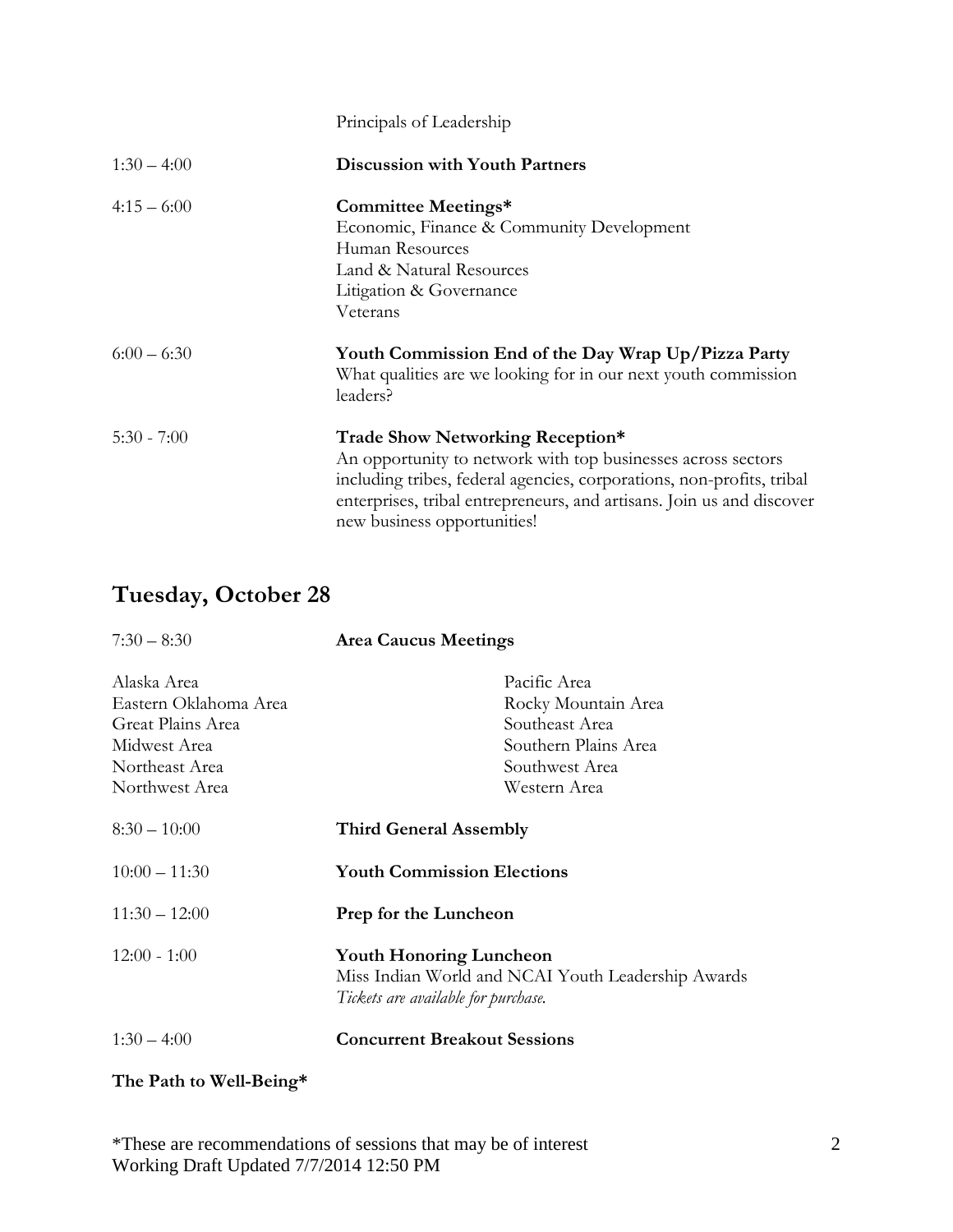|               | Principals of Leadership                                                                                                                                                                                                                                                          |
|---------------|-----------------------------------------------------------------------------------------------------------------------------------------------------------------------------------------------------------------------------------------------------------------------------------|
| $1:30 - 4:00$ | <b>Discussion with Youth Partners</b>                                                                                                                                                                                                                                             |
| $4:15-6:00$   | Committee Meetings*<br>Economic, Finance & Community Development<br>Human Resources<br>Land & Natural Resources<br>Litigation & Governance<br>Veterans                                                                                                                            |
| $6:00 - 6:30$ | Youth Commission End of the Day Wrap Up/Pizza Party<br>What qualities are we looking for in our next youth commission<br>leaders?                                                                                                                                                 |
| $5:30 - 7:00$ | Trade Show Networking Reception*<br>An opportunity to network with top businesses across sectors<br>including tribes, federal agencies, corporations, non-profits, tribal<br>enterprises, tribal entrepreneurs, and artisans. Join us and discover<br>new business opportunities! |

## **Tuesday, October 28**

| $7:30 - 8:30$         | <b>Area Caucus Meetings</b>                                                                                                 |  |
|-----------------------|-----------------------------------------------------------------------------------------------------------------------------|--|
| Alaska Area           | Pacific Area                                                                                                                |  |
| Eastern Oklahoma Area | Rocky Mountain Area                                                                                                         |  |
| Great Plains Area     | Southeast Area                                                                                                              |  |
| Midwest Area          | Southern Plains Area                                                                                                        |  |
| Northeast Area        | Southwest Area                                                                                                              |  |
| Northwest Area        | Western Area                                                                                                                |  |
| $8:30 - 10:00$        | <b>Third General Assembly</b>                                                                                               |  |
| $10:00 - 11:30$       | <b>Youth Commission Elections</b>                                                                                           |  |
| $11:30 - 12:00$       | Prep for the Luncheon                                                                                                       |  |
| $12:00 - 1:00$        | <b>Youth Honoring Luncheon</b><br>Miss Indian World and NCAI Youth Leadership Awards<br>Tickets are available for purchase. |  |
| $1:30 - 4:00$         | <b>Concurrent Breakout Sessions</b>                                                                                         |  |

### **The Path to Well-Being\***

\*These are recommendations of sessions that may be of interest Working Draft Updated 7/7/2014 12:50 PM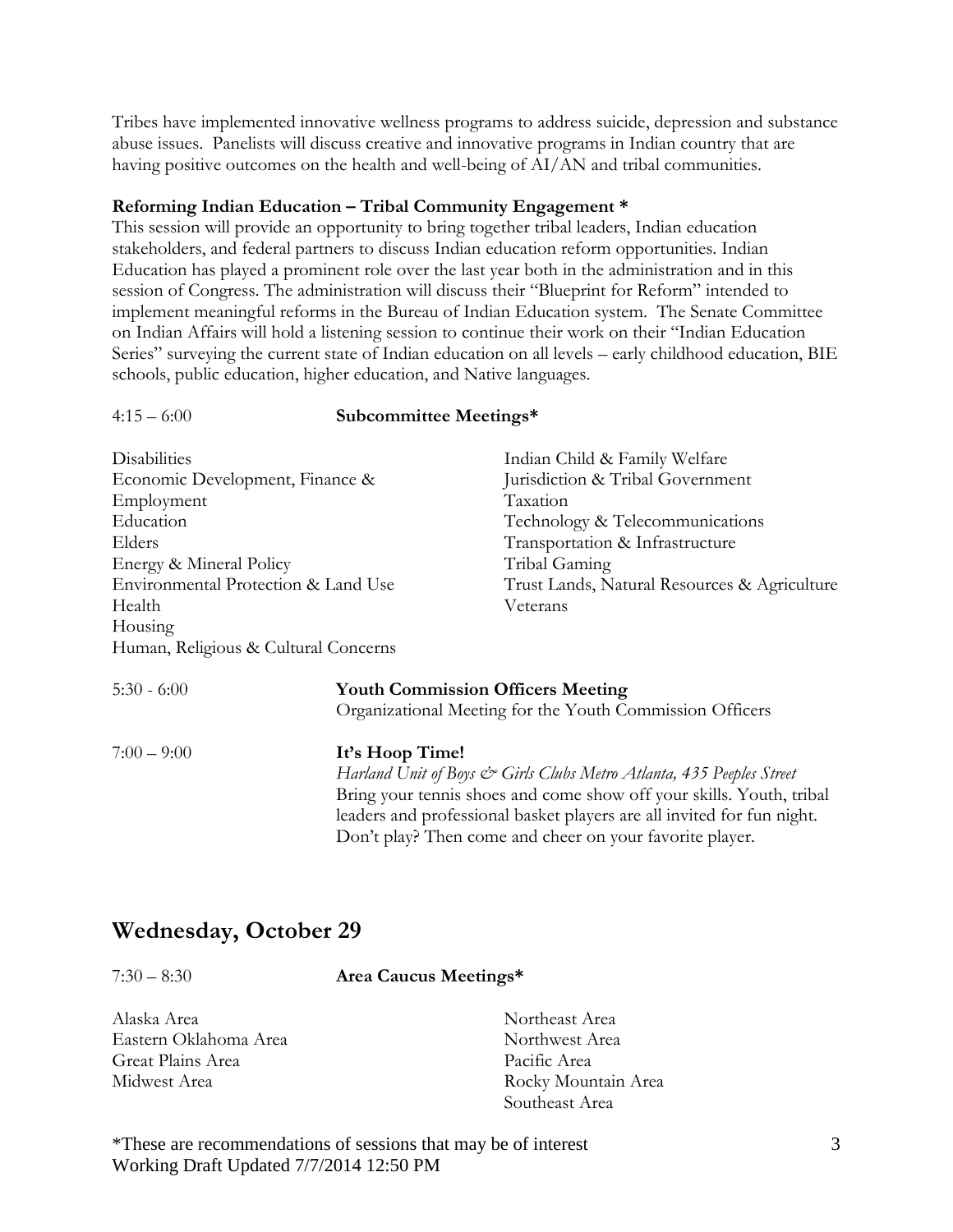Tribes have implemented innovative wellness programs to address suicide, depression and substance abuse issues. Panelists will discuss creative and innovative programs in Indian country that are having positive outcomes on the health and well-being of AI/AN and tribal communities.

#### **Reforming Indian Education – Tribal Community Engagement \***

This session will provide an opportunity to bring together tribal leaders, Indian education stakeholders, and federal partners to discuss Indian education reform opportunities. Indian Education has played a prominent role over the last year both in the administration and in this session of Congress. The administration will discuss their "Blueprint for Reform" intended to implement meaningful reforms in the Bureau of Indian Education system. The Senate Committee on Indian Affairs will hold a listening session to continue their work on their "Indian Education Series" surveying the current state of Indian education on all levels – early childhood education, BIE schools, public education, higher education, and Native languages.

#### 4:15 – 6:00 **Subcommittee Meetings\***

| <b>Disabilities</b>                                                                                                   |  | Indian Child & Family Welfare                |
|-----------------------------------------------------------------------------------------------------------------------|--|----------------------------------------------|
| Economic Development, Finance &                                                                                       |  | Jurisdiction & Tribal Government             |
| Employment                                                                                                            |  | Taxation                                     |
| Education                                                                                                             |  | Technology & Telecommunications              |
| Elders                                                                                                                |  | Transportation & Infrastructure              |
| Energy & Mineral Policy                                                                                               |  | Tribal Gaming                                |
| Environmental Protection & Land Use                                                                                   |  | Trust Lands, Natural Resources & Agriculture |
| Health                                                                                                                |  | Veterans                                     |
| Housing                                                                                                               |  |                                              |
| Human, Religious & Cultural Concerns                                                                                  |  |                                              |
| $5:30 - 6:00$<br><b>Youth Commission Officers Meeting</b><br>Organizational Meeting for the Youth Commission Officers |  |                                              |

7:00 – 9:00 **It's Hoop Time!** *Harland Unit of Boys & Girls Clubs Metro Atlanta, 435 Peeples Street* Bring your tennis shoes and come show off your skills. Youth, tribal leaders and professional basket players are all invited for fun night. Don't play? Then come and cheer on your favorite player.

### **Wednesday, October 29**

| $7:30 - 8:30$ | Area Caucus Meetings* |
|---------------|-----------------------|
|               |                       |

| Alaska Area           | Northeast Area      |
|-----------------------|---------------------|
| Eastern Oklahoma Area | Northwest Area      |
| Great Plains Area     | Pacific Area        |
| Midwest Area          | Rocky Mountain Area |
|                       | Southeast Area      |

\*These are recommendations of sessions that may be of interest Working Draft Updated 7/7/2014 12:50 PM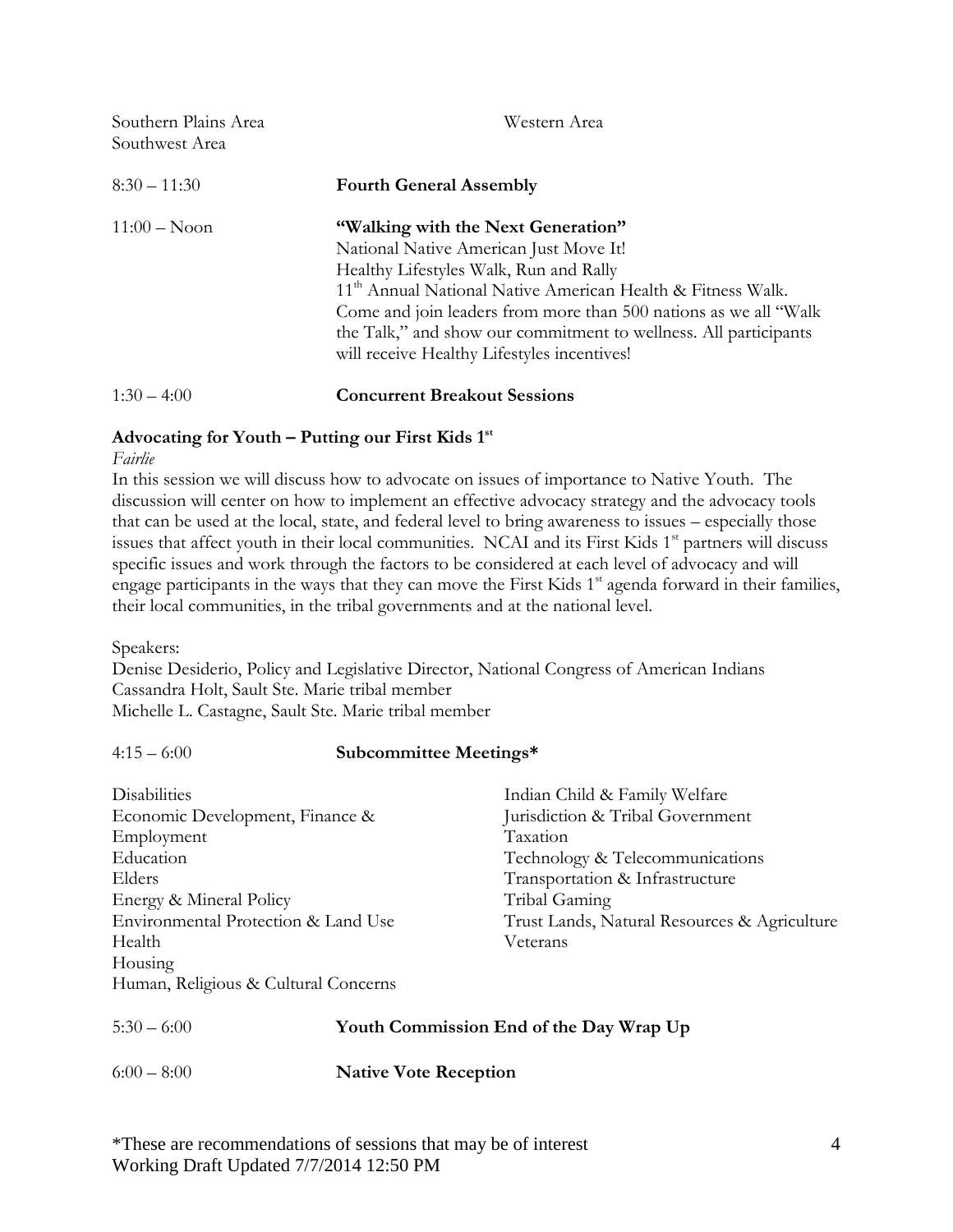| Southern Plains Area<br>Southwest Area | Western Area                                                                                                                                                                                                                                                                                                                                                                              |
|----------------------------------------|-------------------------------------------------------------------------------------------------------------------------------------------------------------------------------------------------------------------------------------------------------------------------------------------------------------------------------------------------------------------------------------------|
| $8:30 - 11:30$                         | <b>Fourth General Assembly</b>                                                                                                                                                                                                                                                                                                                                                            |
| $11:00 - N$ oon                        | "Walking with the Next Generation"<br>National Native American Just Move It!<br>Healthy Lifestyles Walk, Run and Rally<br>11 <sup>th</sup> Annual National Native American Health & Fitness Walk.<br>Come and join leaders from more than 500 nations as we all "Walk"<br>the Talk," and show our commitment to wellness. All participants<br>will receive Healthy Lifestyles incentives! |
| $1:30-4:00$                            | <b>Concurrent Breakout Sessions</b>                                                                                                                                                                                                                                                                                                                                                       |

#### **Advocating for Youth – Putting our First Kids 1st**

*Fairlie*

In this session we will discuss how to advocate on issues of importance to Native Youth. The discussion will center on how to implement an effective advocacy strategy and the advocacy tools that can be used at the local, state, and federal level to bring awareness to issues – especially those issues that affect youth in their local communities. NCAI and its First Kids 1<sup>st</sup> partners will discuss specific issues and work through the factors to be considered at each level of advocacy and will engage participants in the ways that they can move the First Kids  $1<sup>st</sup>$  agenda forward in their families, their local communities, in the tribal governments and at the national level.

Speakers:

Denise Desiderio, Policy and Legislative Director, National Congress of American Indians Cassandra Holt, Sault Ste. Marie tribal member Michelle L. Castagne, Sault Ste. Marie tribal member

### 4:15 – 6:00 **Subcommittee Meetings\***

| <b>Disabilities</b>                  | Indian Child & Family Welfare                |
|--------------------------------------|----------------------------------------------|
| Economic Development, Finance &      | Jurisdiction & Tribal Government             |
| Employment                           | Taxation                                     |
| Education                            | Technology & Telecommunications              |
| Elders                               | Transportation & Infrastructure              |
| Energy & Mineral Policy              | Tribal Gaming                                |
| Environmental Protection & Land Use  | Trust Lands, Natural Resources & Agriculture |
| Health                               | Veterans                                     |
| Housing                              |                                              |
| Human, Religious & Cultural Concerns |                                              |
|                                      |                                              |

| $5:30 - 6:00$ | Youth Commission End of the Day Wrap Up |
|---------------|-----------------------------------------|
| $6:00-8:00$   | <b>Native Vote Reception</b>            |